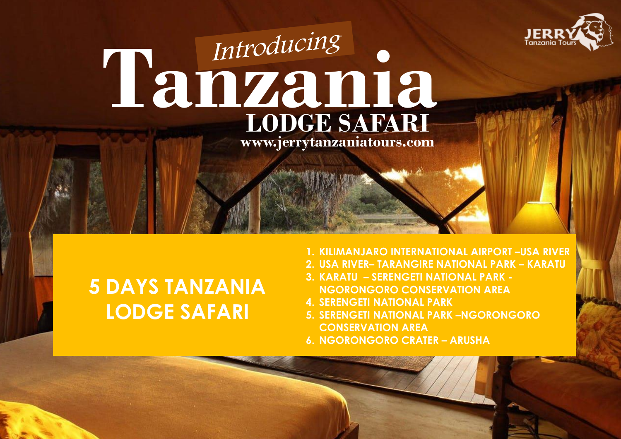

# **Tanzania LODGE SAFARI www.jerrytanzaniatours.com**

ww.jerrytanzania to www.jerrytanzania to występujące w podstawania to występujące w podstawania to występujące

## **5 DAYS TANZANIA LODGE SAFARI**

- **1. KILIMANJARO INTERNATIONAL AIRPORT –USA RIVER**
- **2. USA RIVER– TARANGIRE NATIONAL PARK – KARATU**
- **3. KARATU – SERENGETI NATIONAL PARK - NGORONGORO CONSERVATION AREA**
- **4. SERENGETI NATIONAL PARK**
- **5. SERENGETI NATIONAL PARK –NGORONGORO CONSERVATION AREA**
- **6. NGORONGORO CRATER – ARUSHA**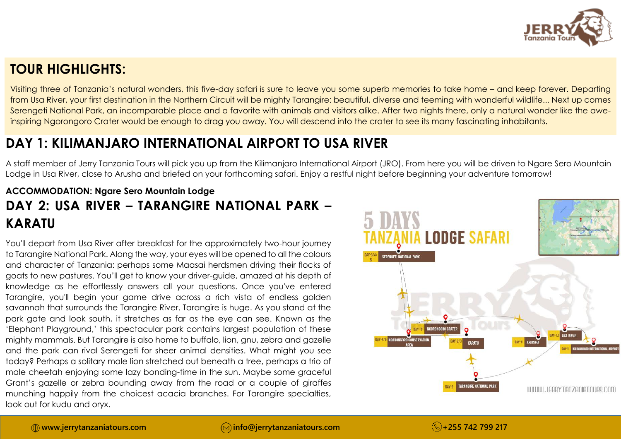

## **TOUR HIGHLIGHTS:**

Visiting three of Tanzania's natural wonders, this five-day safari is sure to leave you some superb memories to take home – and keep forever. Departing from Usa River, your first destination in the Northern Circuit will be mighty Tarangire: beautiful, diverse and teeming with wonderful wildlife... Next up comes Serengeti National Park, an incomparable place and a favorite with animals and visitors alike. After two nights there, only a natural wonder like the aweinspiring Ngorongoro Crater would be enough to drag you away. You will descend into the crater to see its many fascinating inhabitants.

## **DAY 1: KILIMANJARO INTERNATIONAL AIRPORT TO USA RIVER**

A staff member of Jerry Tanzania Tours will pick you up from the Kilimanjaro International Airport (JRO). From here you will be driven to Ngare Sero Mountain Lodge in Usa River, close to Arusha and briefed on your forthcoming safari. Enjoy a restful night before beginning your adventure tomorrow!

## **ACCOMMODATION: Ngare Sero Mountain Lodge DAY 2: USA RIVER – TARANGIRE NATIONAL PARK – KARATU**

You'll depart from Usa River after breakfast for the approximately two-hour journey to Tarangire National Park. Along the way, your eyes will be opened to all the colours and character of Tanzania: perhaps some Maasai herdsmen driving their flocks of goats to new pastures. You'll get to know your driver-guide, amazed at his depth of knowledge as he effortlessly answers all your questions. Once you've entered Tarangire, you'll begin your game drive across a rich vista of endless golden savannah that surrounds the Tarangire River. Tarangire is huge. As you stand at the park gate and look south, it stretches as far as the eye can see. Known as the 'Elephant Playground,' this spectacular park contains largest population of these mighty mammals. But Tarangire is also home to buffalo, lion, gnu, zebra and gazelle and the park can rival Serengeti for sheer animal densities. What might you see today? Perhaps a solitary male lion stretched out beneath a tree, perhaps a trio of male cheetah enjoying some lazy bonding-time in the sun. Maybe some graceful Grant's gazelle or zebra bounding away from the road or a couple of giraffes munching happily from the choicest acacia branches. For Tarangire specialties, look out for kudu and oryx.

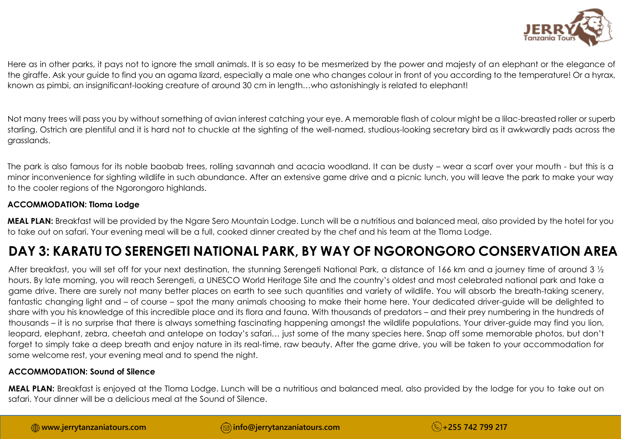

Here as in other parks, it pays not to ignore the small animals. It is so easy to be mesmerized by the power and majesty of an elephant or the elegance of the giraffe. Ask your guide to find you an agama lizard, especially a male one who changes colour in front of you according to the temperature! Or a hyrax, known as pimbi, an insignificant-looking creature of around 30 cm in length…who astonishingly is related to elephant!

Not many trees will pass you by without something of avian interest catching your eye. A memorable flash of colour might be a lilac-breasted roller or superb starling. Ostrich are plentiful and it is hard not to chuckle at the sighting of the well-named, studious-looking secretary bird as it awkwardly pads across the grasslands.

The park is also famous for its noble baobab trees, rolling savannah and acacia woodland. It can be dusty – wear a scarf over your mouth - but this is a minor inconvenience for sighting wildlife in such abundance. After an extensive game drive and a picnic lunch, you will leave the park to make your way to the cooler regions of the Ngorongoro highlands.

#### **ACCOMMODATION: Tloma Lodge**

**MEAL PLAN:** Breakfast will be provided by the Ngare Sero Mountain Lodge. Lunch will be a nutritious and balanced meal, also provided by the hotel for you to take out on safari. Your evening meal will be a full, cooked dinner created by the chef and his team at the Tloma Lodge.

## **DAY 3: KARATU TO SERENGETI NATIONAL PARK, BY WAY OF NGORONGORO CONSERVATION AREA**

After breakfast, you will set off for your next destination, the stunning Serengeti National Park, a distance of 166 km and a journey time of around 3  $\frac{1}{2}$ hours. By late morning, you will reach Serengeti, a UNESCO World Heritage Site and the country's oldest and most celebrated national park and take a game drive. There are surely not many better places on earth to see such quantities and variety of wildlife. You will absorb the breath-taking scenery, fantastic changing light and – of course – spot the many animals choosing to make their home here. Your dedicated driver-guide will be delighted to share with you his knowledge of this incredible place and its flora and fauna. With thousands of predators – and their prey numbering in the hundreds of thousands – it is no surprise that there is always something fascinating happening amongst the wildlife populations. Your driver-guide may find you lion, leopard, elephant, zebra, cheetah and antelope on today's safari… just some of the many species here. Snap off some memorable photos, but don't forget to simply take a deep breath and enjoy nature in its real-time, raw beauty. After the game drive, you will be taken to your accommodation for some welcome rest, your evening meal and to spend the night.

#### **ACCOMMODATION: Sound of Silence**

**MEAL PLAN:** Breakfast is enjoyed at the Tloma Lodge. Lunch will be a nutritious and balanced meal, also provided by the lodge for you to take out on safari. Your dinner will be a delicious meal at the Sound of Silence.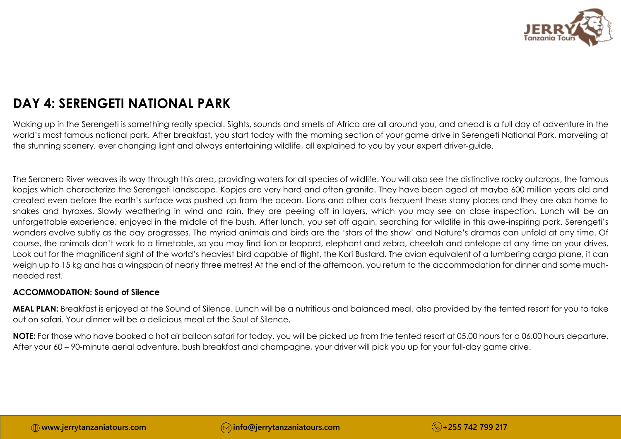

## **DAY 4: SERENGETI NATIONAL PARK**

Waking up in the Serengeti is something really special. Sights, sounds and smells of Africa are all around you, and ahead is a full day of adventure in the world's most famous national park. After breakfast, you start today with the morning section of your game drive in Serengeti National Park, marveling at the stunning scenery, ever changing light and always entertaining wildlife, all explained to you by your expert driver-guide.

The Seronera River weaves its way through this area, providing waters for all species of wildlife. You will also see the distinctive rocky outcrops, the famous kopjes which characterize the Serengeti landscape. Kopjes are very hard and often granite. They have been aged at maybe 600 million years old and created even before the earth's surface was pushed up from the ocean. Lions and other cats frequent these stony places and they are also home to snakes and hyraxes. Slowly weathering in wind and rain, they are peeling off in layers, which you may see on close inspection. Lunch will be an unforgettable experience, enjoyed in the middle of the bush. After lunch, you set off again, searching for wildlife in this awe-inspiring park. Serengeti's wonders evolve subtly as the day progresses. The myriad animals and birds are the 'stars of the show' and Nature's dramas can unfold at any time. Of course, the animals don't work to a timetable, so you may find lion or leopard, elephant and zebra, cheetah and antelope at any time on your drives. Look out for the magnificent sight of the world's heaviest bird capable of flight, the Kori Bustard. The avian equivalent of a lumbering cargo plane, it can weigh up to 15 kg and has a wingspan of nearly three metres! At the end of the afternoon, you return to the accommodation for dinner and some muchneeded rest.

#### **ACCOMMODATION: Sound of Silence**

**MEAL PLAN:** Breakfast is enjoyed at the Sound of Silence. Lunch will be a nutritious and balanced meal, also provided by the tented resort for you to take out on safari. Your dinner will be a delicious meal at the Soul of Silence.

**NOTE:** For those who have booked a hot air balloon safari for today, you will be picked up from the tented resort at 05.00 hours for a 06.00 hours departure. After your 60 – 90-minute aerial adventure, bush breakfast and champagne, your driver will pick you up for your full-day game drive.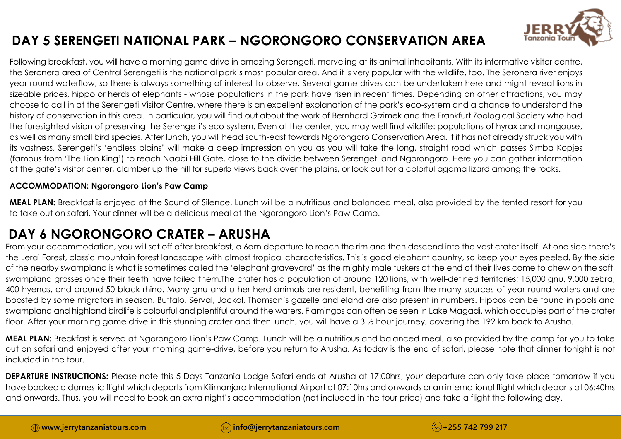

## **DAY 5 SERENGETI NATIONAL PARK – NGORONGORO CONSERVATION AREA**

Following breakfast, you will have a morning game drive in amazing Serengeti, marveling at its animal inhabitants. With its informative visitor centre, the Seronera area of Central Serengeti is the national park's most popular area. And it is very popular with the wildlife, too. The Seronera river enjoys year-round waterflow, so there is always something of interest to observe. Several game drives can be undertaken here and might reveal lions in sizeable prides, hippo or herds of elephants - whose populations in the park have risen in recent times. Depending on other attractions, you may choose to call in at the Serengeti Visitor Centre, where there is an excellent explanation of the park's eco-system and a chance to understand the history of conservation in this area. In particular, you will find out about the work of Bernhard Grzimek and the Frankfurt Zoological Society who had the foresighted vision of preserving the Serengeti's eco-system. Even at the center, you may well find wildlife: populations of hyrax and mongoose, as well as many small bird species. After lunch, you will head south-east towards Ngorongoro Conservation Area. If it has not already struck you with its vastness, Serengeti's 'endless plains' will make a deep impression on you as you will take the long, straight road which passes Simba Kopjes (famous from 'The Lion King') to reach Naabi Hill Gate, close to the divide between Serengeti and Ngorongoro. Here you can gather information at the gate's visitor center, clamber up the hill for superb views back over the plains, or look out for a colorful agama lizard among the rocks.

#### **ACCOMMODATION: Ngorongoro Lion's Paw Camp**

**MEAL PLAN:** Breakfast is enjoyed at the Sound of Silence. Lunch will be a nutritious and balanced meal, also provided by the tented resort for you to take out on safari. Your dinner will be a delicious meal at the Ngorongoro Lion's Paw Camp.

## **DAY 6 NGORONGORO CRATER – ARUSHA**

From your accommodation, you will set off after breakfast, a 6am departure to reach the rim and then descend into the vast crater itself. At one side there's the Lerai Forest, classic mountain forest landscape with almost tropical characteristics. This is good elephant country, so keep your eyes peeled. By the side of the nearby swampland is what is sometimes called the 'elephant graveyard' as the mighty male tuskers at the end of their lives come to chew on the soft, swampland grasses once their teeth have failed them.The crater has a population of around 120 lions, with well-defined territories; 15,000 gnu, 9,000 zebra, 400 hyenas, and around 50 black rhino. Many gnu and other herd animals are resident, benefiting from the many sources of year-round waters and are boosted by some migrators in season. Buffalo, Serval, Jackal, Thomson's gazelle and eland are also present in numbers. Hippos can be found in pools and swampland and highland birdlife is colourful and plentiful around the waters. Flamingos can often be seen in Lake Magadi, which occupies part of the crater floor. After your morning game drive in this stunning crater and then lunch, you will have a 3 ½ hour journey, covering the 192 km back to Arusha.

**MEAL PLAN:** Breakfast is served at Ngorongoro Lion's Paw Camp. Lunch will be a nutritious and balanced meal, also provided by the camp for you to take out on safari and enjoyed after your morning game-drive, before you return to Arusha. As today is the end of safari, please note that dinner tonight is not included in the tour.

**DEPARTURE INSTRUCTIONS:** Please note this 5 Days Tanzania Lodge Safari ends at Arusha at 17:00hrs, your departure can only take place tomorrow if you have booked a domestic flight which departs from Kilimanjaro International Airport at 07:10hrs and onwards or an international flight which departs at 06:40hrs and onwards. Thus, you will need to book an extra night's accommodation (not included in the tour price) and take a flight the following day.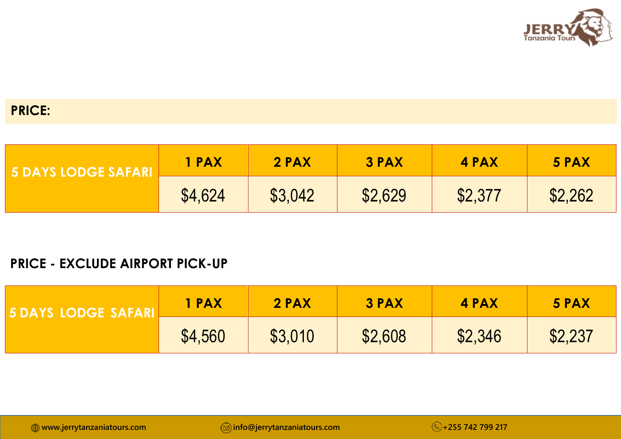

## **PRICE:**

| <b>WE DEVENTION CENTER PARTY.</b> | 1 PAX   | 2 PAX   | 3 PAX   | 4 PAX   | 5 PAX   |
|-----------------------------------|---------|---------|---------|---------|---------|
|                                   | \$4,624 | \$3,042 | \$2,629 | \$2,377 | \$2,262 |

## **PRICE - EXCLUDE AIRPORT PICK-UP**

| 5 DAYS LODGE SAFARLY | 1 PAX   | 2 PAX   | 3 PAX   | 4 PAX   | 5 PAX   |
|----------------------|---------|---------|---------|---------|---------|
|                      | \$4,560 | \$3,010 | \$2,608 | \$2,346 | \$2,237 |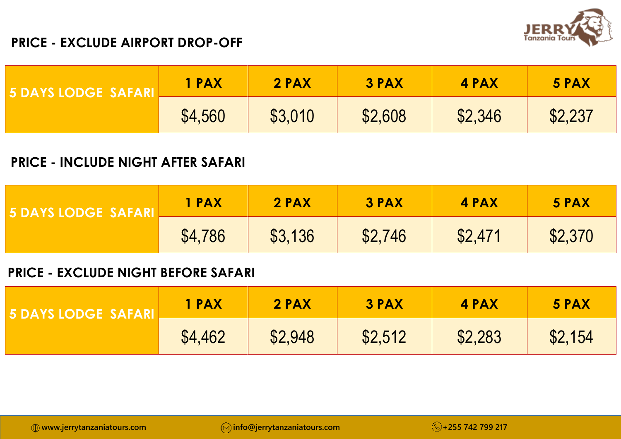

## **PRICE - EXCLUDE AIRPORT DROP-OFF**

| <b>5 DAYS LODGE SAFARLE</b> | 1 PAX   | 2 PAX   | 3 PAX   | 4 PAX   | 5 PAX   |
|-----------------------------|---------|---------|---------|---------|---------|
|                             | \$4,560 | \$3,010 | \$2,608 | \$2,346 | \$2,237 |

## **PRICE - INCLUDE NIGHT AFTER SAFARI**

| <b>5 DAYS LODGE SAFARL</b> | 1 PAX   | 2 PAX   | <b>3 PAX</b> | 4 PAX   | 5 PAX   |
|----------------------------|---------|---------|--------------|---------|---------|
|                            | \$4,786 | \$3,136 | \$2,746      | \$2,471 | \$2,370 |

### **PRICE - EXCLUDE NIGHT BEFORE SAFARI**

| I 5 DAY | <b>I PAX</b> | 2 PAX   | <b>3 PAX</b> | 4 PAX   | 5 PAX   |
|---------|--------------|---------|--------------|---------|---------|
|         | \$4,462      | \$2,948 | \$2,512      | \$2,283 | \$2,154 |